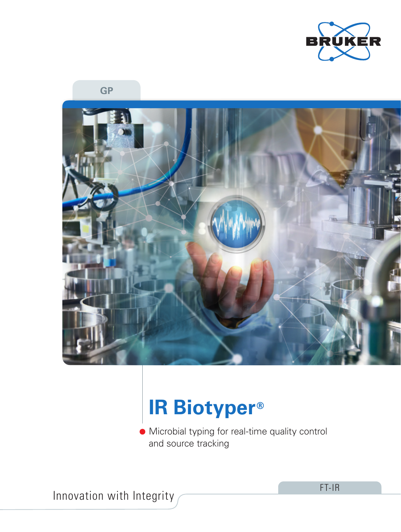

**GP**



# **IR Biotyper®**

Microbial typing for real-time quality control and source tracking

Innovation with Integrity

FT-IR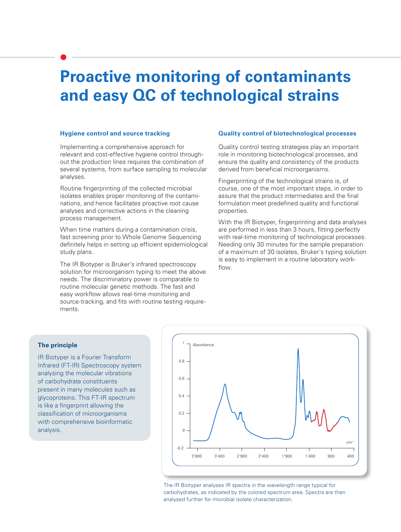### **Proactive monitoring of contaminants and easy QC of technological strains**

#### **Hygiene control and source tracking**

Implementing a comprehensive approach for relevant and cost-effective hygiene control throughout the production lines requires the combination of several systems, from surface sampling to molecular analyses.

Routine fingerprinting of the collected microbial isolates enables proper monitoring of the contaminations, and hence facilitates proactive root cause analyses and corrective actions in the cleaning process management.

When time matters during a contamination crisis, fast screening prior to Whole Genome Sequencing definitely helps in setting up efficient epidemiological study plans.

The IR Biotyper is Bruker's infrared spectroscopy solution for microorganism typing to meet the above needs. The discriminatory power is comparable to routine molecular genetic methods. The fast and easy workflow allows real-time monitoring and source-tracking, and fits with routine testing requirements.

#### **Quality control of biotechnological processes**

Quality control testing strategies play an important role in monitoring biotechnological processes, and ensure the quality and consistency of the products derived from beneficial microorganisms.

Fingerprinting of the technological strains is, of course, one of the most important steps, in order to assure that the product intermediates and the final formulation meet predefined quality and functional properties.

With the IR Biotyper, fingerprinting and data analyses are performed in less than 3 hours, fitting perfectly with real-time monitoring of technological processes. Needing only 30 minutes for the sample preparation of a maximum of 30 isolates, Bruker's typing solution is easy to implement in a routine laboratory workflow.

### **The principle**

IR Biotyper is a Fourier Transform Infrared (FT-IR) Spectroscopy system analysing the molecular vibrations of carbohydrate constituents present in many molecules such as glycoproteins. This FT-IR spectrum is like a fingerprint allowing the classification of microorganisms with comprehensive bioinformatic analysis.



The IR Biotyper analyses IR spectra in the wavelength range typical for carbohydrates, as indicated by the colored spectrum area. Spectra are then analysed further for microbial isolate characterization.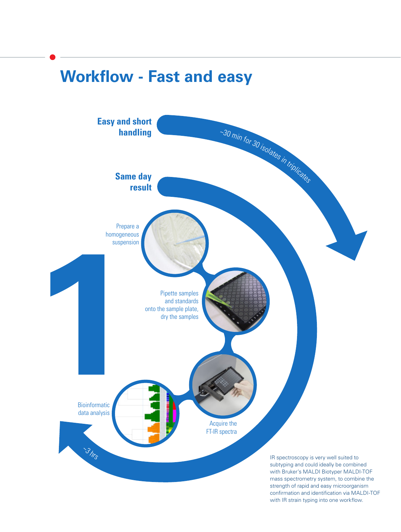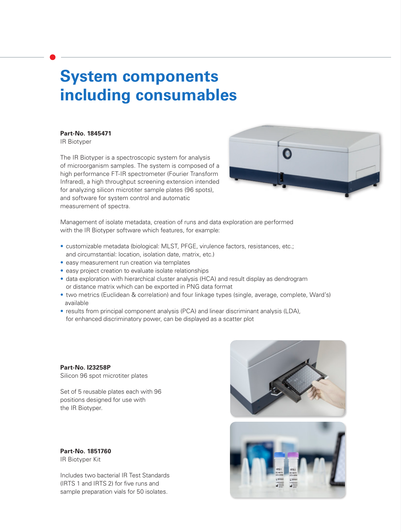### **System components including consumables**

**Part-No. 1845471** 

IR Biotyper

The IR Biotyper is a spectroscopic system for analysis of microorganism samples. The system is composed of a high performance FT-IR spectrometer (Fourier Transform Infrared), a high throughput screening extension intended for analyzing silicon microtiter sample plates (96 spots), and software for system control and automatic measurement of spectra.



Management of isolate metadata, creation of runs and data exploration are performed with the IR Biotyper software which features, for example:

- customizable metadata (biological: MLST, PFGE, virulence factors, resistances, etc.; and circumstantial: location, isolation date, matrix, etc.)
- easy measurement run creation via templates
- easy project creation to evaluate isolate relationships
- data exploration with hierarchical cluster analysis (HCA) and result display as dendrogram or distance matrix which can be exported in PNG data format
- two metrics (Euclidean & correlation) and four linkage types (single, average, complete, Ward's) available
- results from principal component analysis (PCA) and linear discriminant analysis (LDA), for enhanced discriminatory power, can be displayed as a scatter plot

**Part-No. I23258P**  Silicon 96 spot microtiter plates

Set of 5 reusable plates each with 96 positions designed for use with the IR Biotyper.

**Part-No. 1851760** IR Biotyper Kit

Includes two bacterial IR Test Standards (IRTS 1 and IRTS 2) for five runs and sample preparation vials for 50 isolates.



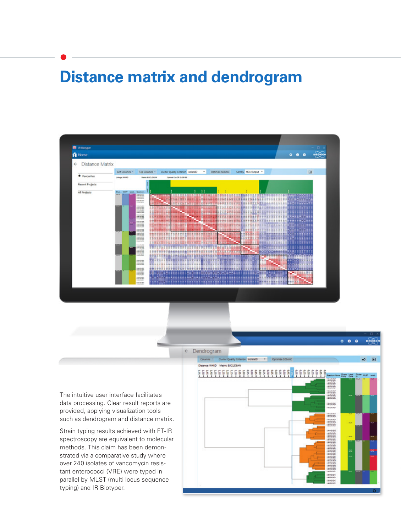### **Distance matrix and dendrogram**



The intuitive user interface facilitates data processing. Clear result reports are provided, applying visualization tools such as dendrogram and distance matrix.

Strain typing results achieved with FT-IR spectroscopy are equivalent to molecular methods. This claim has been demonstrated via a comparative study where over 240 isolates of vancomycin resistant enterococci (VRE) were typed in parallel by MLST (multi locus sequence typing) and IR Biotyper.